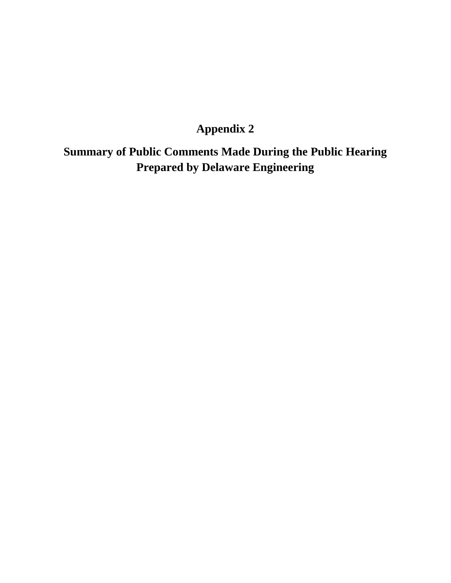# **Appendix 2**

**Summary of Public Comments Made During the Public Hearing Prepared by Delaware Engineering**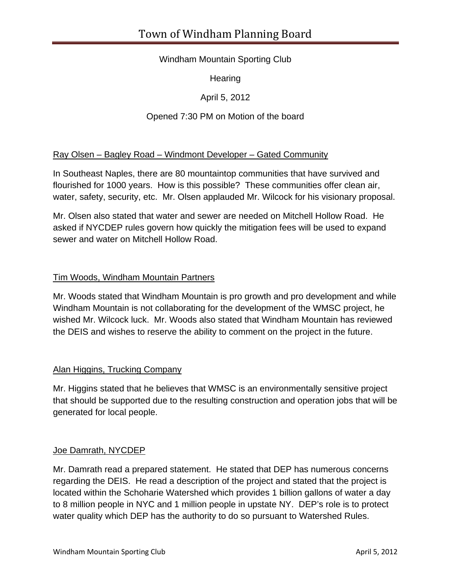# Windham Mountain Sporting Club

**Hearing** 

April 5, 2012

# Opened 7:30 PM on Motion of the board

# Ray Olsen – Bagley Road – Windmont Developer – Gated Community

In Southeast Naples, there are 80 mountaintop communities that have survived and flourished for 1000 years. How is this possible? These communities offer clean air, water, safety, security, etc. Mr. Olsen applauded Mr. Wilcock for his visionary proposal.

Mr. Olsen also stated that water and sewer are needed on Mitchell Hollow Road. He asked if NYCDEP rules govern how quickly the mitigation fees will be used to expand sewer and water on Mitchell Hollow Road.

# Tim Woods, Windham Mountain Partners

Mr. Woods stated that Windham Mountain is pro growth and pro development and while Windham Mountain is not collaborating for the development of the WMSC project, he wished Mr. Wilcock luck. Mr. Woods also stated that Windham Mountain has reviewed the DEIS and wishes to reserve the ability to comment on the project in the future.

# Alan Higgins, Trucking Company

Mr. Higgins stated that he believes that WMSC is an environmentally sensitive project that should be supported due to the resulting construction and operation jobs that will be generated for local people.

# Joe Damrath, NYCDEP

Mr. Damrath read a prepared statement. He stated that DEP has numerous concerns regarding the DEIS. He read a description of the project and stated that the project is located within the Schoharie Watershed which provides 1 billion gallons of water a day to 8 million people in NYC and 1 million people in upstate NY. DEP's role is to protect water quality which DEP has the authority to do so pursuant to Watershed Rules.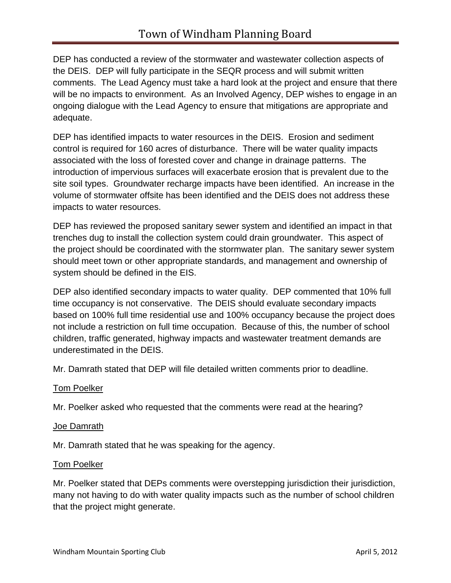DEP has conducted a review of the stormwater and wastewater collection aspects of the DEIS. DEP will fully participate in the SEQR process and will submit written comments. The Lead Agency must take a hard look at the project and ensure that there will be no impacts to environment. As an Involved Agency, DEP wishes to engage in an ongoing dialogue with the Lead Agency to ensure that mitigations are appropriate and adequate.

DEP has identified impacts to water resources in the DEIS. Erosion and sediment control is required for 160 acres of disturbance. There will be water quality impacts associated with the loss of forested cover and change in drainage patterns. The introduction of impervious surfaces will exacerbate erosion that is prevalent due to the site soil types. Groundwater recharge impacts have been identified. An increase in the volume of stormwater offsite has been identified and the DEIS does not address these impacts to water resources.

DEP has reviewed the proposed sanitary sewer system and identified an impact in that trenches dug to install the collection system could drain groundwater. This aspect of the project should be coordinated with the stormwater plan. The sanitary sewer system should meet town or other appropriate standards, and management and ownership of system should be defined in the EIS.

DEP also identified secondary impacts to water quality. DEP commented that 10% full time occupancy is not conservative. The DEIS should evaluate secondary impacts based on 100% full time residential use and 100% occupancy because the project does not include a restriction on full time occupation. Because of this, the number of school children, traffic generated, highway impacts and wastewater treatment demands are underestimated in the DEIS.

Mr. Damrath stated that DEP will file detailed written comments prior to deadline.

#### Tom Poelker

Mr. Poelker asked who requested that the comments were read at the hearing?

#### Joe Damrath

Mr. Damrath stated that he was speaking for the agency.

#### **Tom Poelker**

Mr. Poelker stated that DEPs comments were overstepping jurisdiction their jurisdiction, many not having to do with water quality impacts such as the number of school children that the project might generate.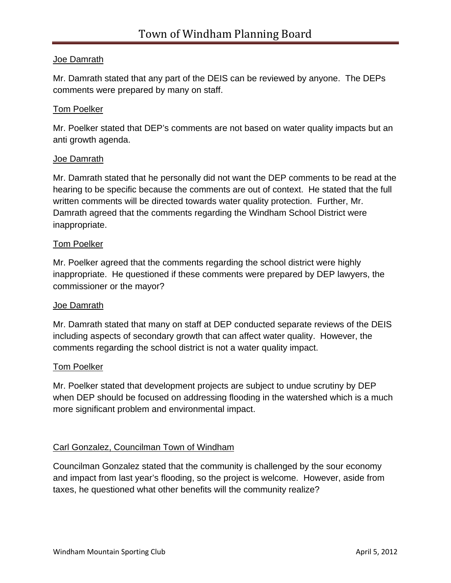# Joe Damrath

Mr. Damrath stated that any part of the DEIS can be reviewed by anyone. The DEPs comments were prepared by many on staff.

#### Tom Poelker

Mr. Poelker stated that DEP's comments are not based on water quality impacts but an anti growth agenda.

#### Joe Damrath

Mr. Damrath stated that he personally did not want the DEP comments to be read at the hearing to be specific because the comments are out of context. He stated that the full written comments will be directed towards water quality protection. Further, Mr. Damrath agreed that the comments regarding the Windham School District were inappropriate.

#### Tom Poelker

Mr. Poelker agreed that the comments regarding the school district were highly inappropriate. He questioned if these comments were prepared by DEP lawyers, the commissioner or the mayor?

#### Joe Damrath

Mr. Damrath stated that many on staff at DEP conducted separate reviews of the DEIS including aspects of secondary growth that can affect water quality. However, the comments regarding the school district is not a water quality impact.

#### Tom Poelker

Mr. Poelker stated that development projects are subject to undue scrutiny by DEP when DEP should be focused on addressing flooding in the watershed which is a much more significant problem and environmental impact.

# Carl Gonzalez, Councilman Town of Windham

Councilman Gonzalez stated that the community is challenged by the sour economy and impact from last year's flooding, so the project is welcome. However, aside from taxes, he questioned what other benefits will the community realize?